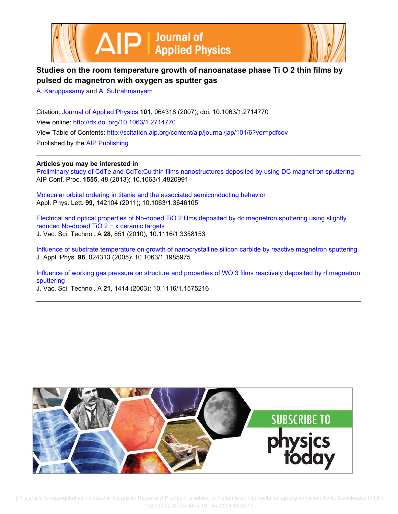



# **Studies on the room temperature growth of nanoanatase phase Ti O 2 thin films by pulsed dc magnetron with oxygen as sputter gas**

A. Karuppasamy and A. Subrahmanyam

Citation: Journal of Applied Physics **101**, 064318 (2007); doi: 10.1063/1.2714770 View online: http://dx.doi.org/10.1063/1.2714770 View Table of Contents: http://scitation.aip.org/content/aip/journal/jap/101/6?ver=pdfcov Published by the AIP Publishing

**Articles you may be interested in**

Preliminary study of CdTe and CdTe:Cu thin films nanostructures deposited by using DC magnetron sputtering AIP Conf. Proc. **1555**, 48 (2013); 10.1063/1.4820991

Molecular orbital ordering in titania and the associated semiconducting behavior Appl. Phys. Lett. **99**, 142104 (2011); 10.1063/1.3646105

Electrical and optical properties of Nb-doped TiO 2 films deposited by dc magnetron sputtering using slightly reduced Nb-doped TiO 2 − x ceramic targets J. Vac. Sci. Technol. A **28**, 851 (2010); 10.1116/1.3358153

Influence of substrate temperature on growth of nanocrystalline silicon carbide by reactive magnetron sputtering J. Appl. Phys. **98**, 024313 (2005); 10.1063/1.1985975

Influence of working gas pressure on structure and properties of WO 3 films reactively deposited by rf magnetron sputtering

J. Vac. Sci. Technol. A **21**, 1414 (2003); 10.1116/1.1575216

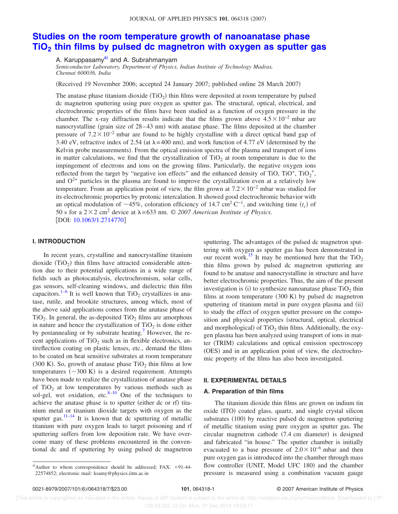### JOURNAL OF APPLIED PHYSICS 101, 064318 (2007)

# **Studies on the room temperature growth of nanoanatase phase TiO<sup>2</sup> thin films by pulsed dc magnetron with oxygen as sputter gas**

A. Karuppasamy<sup>a)</sup> and A. Subrahmanyam

*Semiconductor Laboratory, Department of Physics, Indian Institute of Technology Madras, Chennai 600036, India*

(Received 19 November 2006; accepted 24 January 2007; published online 28 March 2007)

The anatase phase titanium dioxide  $(TiO_2)$  thin films were deposited at room temperature by pulsed dc magnetron sputtering using pure oxygen as sputter gas. The structural, optical, electrical, and electrochromic properties of the films have been studied as a function of oxygen pressure in the chamber. The x-ray diffraction results indicate that the films grown above  $4.5\times10^{-2}$  mbar are nanocrystalline (grain size of 28–43 nm) with anatase phase. The films deposited at the chamber pressure of  $7.2 \times 10^{-2}$  mbar are found to be highly crystalline with a direct optical band gap of 3.40 eV, refractive index of 2.54 (at  $\lambda$ =400 nm), and work function of 4.77 eV (determined by the Kelvin probe measurements). From the optical emission spectra of the plasma and transport of ions in matter calculations, we find that the crystallization of  $TiO<sub>2</sub>$  at room temperature is due to the impingement of electrons and ions on the growing films. Particularly, the negative oxygen ions reflected from the target by "negative ion effects" and the enhanced density of TiO, TiO<sup>+</sup>, TiO<sub>2</sub><sup>+</sup>, and  $O^{2+}$  particles in the plasma are found to improve the crystallization even at a relatively low temperature. From an application point of view, the film grown at  $7.2 \times 10^{-2}$  mbar was studied for its electrochromic properties by protonic intercalation. It showed good electrochromic behavior with an optical modulation of  $\sim$ 45%, coloration efficiency of 14.7 cm<sup>2</sup> C<sup>-1</sup>, and switching time *(t<sub>c</sub>*) of 50 s for a  $2 \times 2$  cm<sup>2</sup> device at  $\lambda = 633$  nm.  $\odot$  2007 American Institute of Physics. [DOI: 10.1063/1.2714770]

#### **I. INTRODUCTION**

In recent years, crystalline and nanocrystalline titanium dioxide  $(TiO<sub>2</sub>)$  thin films have attracted considerable attention due to their potential applications in a wide range of fields such as photocatalysis, electrochromism, solar cells, gas sensors, self-cleaning windows, and dielectric thin film capacitors.<sup>1–6</sup> It is well known that  $TiO<sub>2</sub>$  crystallizes in anatase, rutile, and brookite structures, among which, most of the above said applications comes from the anatase phase of  $TiO<sub>2</sub>$ . In general, the as-deposited  $TiO<sub>2</sub>$  films are amorphous in nature and hence the crystallization of  $\text{TiO}_2$  is done either by postannealing or by substrate heating.<sup>7</sup> However, the recent applications of  $TiO<sub>2</sub>$  such as in flexible electronics, antireflection coating on plastic lenses, etc., demand the films to be coated on heat sensitive substrates at room temperature  $(300 \text{ K})$ . So, growth of anatase phase TiO<sub>2</sub> thin films at low temperatures  $(\sim 300 \text{ K})$  is a desired requirement. Attempts have been made to realize the crystallization of anatase phase of  $TiO<sub>2</sub>$  at low temperatures by various methods such as sol-gel, wet oxidation, etc. $8-10$  One of the techniques to achieve the anatase phase is to sputter (either dc or rf) titanium metal or titanium dioxide targets with oxygen as the sputter gas. $11-14$  It is known that dc sputtering of metallic titanium with pure oxygen leads to target poisoning and rf sputtering suffers from low deposition rate. We have overcome many of these problems encountered in the conventional dc and rf sputtering by using pulsed dc magnetron

sputtering. The advantages of the pulsed dc magnetron sputtering with oxygen as sputter gas has been demonstrated in our recent work.<sup>15</sup> It may be mentioned here that the  $TiO<sub>2</sub>$ thin films grown by pulsed dc magnetron sputtering are found to be anatase and nanocrystalline in structure and have better electrochromic properties. Thus, the aim of the present investigation is (i) to synthesize nanoanatase phase  $TiO<sub>2</sub>$  thin films at room temperature  $(300 K)$  by pulsed dc magnetron sputtering of titanium metal in pure oxygen plasma and (ii) to study the effect of oxygen sputter pressure on the composition and physical properties (structural, optical, electrical and morphological) of  $TiO<sub>2</sub>$  thin films. Additionally, the oxygen plasma has been analyzed using transport of ions in matter (TRIM) calculations and optical emission spectroscopy (OES) and in an application point of view, the electrochromic property of the films has also been investigated.

## **II. EXPERIMENTAL DETAILS**

## **A. Preparation of thin films**

The titanium dioxide thin films are grown on indium tin oxide (ITO) coated glass, quartz, and single crystal silicon substrates (100) by reactive pulsed dc magnetron sputtering of metallic titanium using pure oxygen as sputter gas. The circular magnetron cathode (7.4 cm diameter) is designed and fabricated "in house." The sputter chamber is initially evacuated to a base pressure of  $2.0\times10^{-6}$  mbar and then pure oxygen gas is introduced into the chamber through mass flow controller (UNIT, Model UFC 180) and the chamber pressure is measured using a combination vacuum gauge

a)Author to whom correspondence should be addressed; FAX:  $+91-44-$ 22574852; electronic mail: ksamy@physics.iitm.ac.in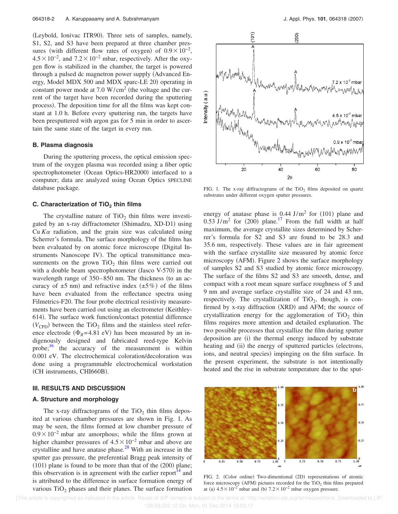(Leybold, Ionivac ITR90). Three sets of samples, namely, S1, S2, and S3 have been prepared at three chamber pressures (with different flow rates of oxygen) of  $0.9 \times 10^{-2}$ ,  $4.5\times10^{-2}$ , and  $7.2\times10^{-2}$  mbar, respectively. After the oxygen flow is stabilized in the chamber, the target is powered through a pulsed dc magnetron power supply (Advanced Energy, Model MDX 500 and MDX sparc-LE 20) operating in constant power mode at  $7.0 \text{ W/cm}^2$  (the voltage and the current of the target have been recorded during the sputtering process). The deposition time for all the films was kept constant at 1.0 h. Before every sputtering run, the targets have been presputtered with argon gas for 5 min in order to ascertain the same state of the target in every run.

#### **B. Plasma diagnosis**

During the sputtering process, the optical emission spectrum of the oxygen plasma was recorded using a fiber optic spectrophotometer (Ocean Optics-HR2000) interfaced to a computer; data are analyzed using Ocean Optics SPECLINE database package.

## **C. Characterization of TiO<sup>2</sup> thin films**

The crystalline nature of  $TiO<sub>2</sub>$  thin films were investigated by an x-ray diffractometer (Shimadzu, XD-D1) using Cu  $K\alpha$  radiation, and the grain size was calculated using Scherrer's formula. The surface morphology of the films has been evaluated by on atomic force microscope (Digital Instruments Nanoscope IV). The optical transmittance measurements on the grown  $TiO<sub>2</sub>$  thin films were carried out with a double beam spectrophotometer (Jasco V-570) in the wavelength range of  $350-850$  nm. The thickness (to an accuracy of  $\pm 5$  nm) and refractive index  $(\pm 5\%)$  of the films have been evaluated from the reflectance spectra using Filmetrics-F20. The four probe electrical resistivity measurements have been carried out using an electrometer (Keithley-614). The surface work function/contact potential difference  $(V_{\rm CPD})$  between the TiO<sub>2</sub> films and the stainless steel reference electrode ( $\Phi_R$ =4.81 eV) has been measured by an indigenously designed and fabricated reed-type Kelvin probe;<sup>16</sup> the accuracy of the measurement is within 0.001 eV. The electrochemical coloration/decoloration was done using a programmable electrochemical workstation (CH instruments, CHI660B).

#### **III. RESULTS AND DISCUSSION**

## **A. Structure and morphology**

The x-ray diffractograms of the  $TiO<sub>2</sub>$  thin films deposited at various chamber pressures are shown in Fig. 1. As may be seen, the films formed at low chamber pressure of  $0.9\times10^{-2}$  mbar are amorphous; while the films grown at higher chamber pressures of  $4.5 \times 10^{-2}$  mbar and above are crystalline and have anatase phase. $2^8$  With an increase in the sputter gas pressure, the preferential Bragg peak intensity of  $(101)$  plane is found to be more than that of the  $(200)$  plane; this observation is in agreement with the earlier report<sup> $14$ </sup> and is attributed to the difference in surface formation energy of various  $TiO<sub>2</sub>$  phases and their planes. The surface formation



FIG. 1. The x-ray diffractograms of the  $TiO<sub>2</sub>$  films deposited on quartz substrates under different oxygen sputter pressures.

energy of anatase phase is  $0.44$  J/m<sup>2</sup> for (101) plane and  $0.53$  J/m<sup>2</sup> for (200) plane.<sup>17</sup> From the full width at half maximum, the average crystallite sizes determined by Scherrer's formula for S2 and S3 are found to be 28.3 and 35.6 nm, respectively. These values are in fair agreement with the surface crystallite size measured by atomic force microscopy (AFM). Figure 2 shows the surface morphology of samples S2 and S3 studied by atomic force microscopy. The surface of the films S2 and S3 are smooth, dense, and compact with a root mean square surface roughness of 5 and 9 nm and average surface crystallite size of 24 and 43 nm, respectively. The crystallization of  $TiO<sub>2</sub>$ , though, is confirmed by x-ray diffraction (XRD) and AFM; the source of crystallization energy for the agglomeration of  $TiO<sub>2</sub>$  thin films requires more attention and detailed explanation. The two possible processes that crystallize the film during sputter deposition are (i) the thermal energy induced by substrate heating and (ii) the energy of sputtered particles (electrons, ions, and neutral species) impinging on the film surface. In the present experiment, the substrate is not intentionally heated and the rise in substrate temperature due to the sput-



FIG. 2. (Color online) Two-dimentional (2D) representations of atomic force microscopy (AFM) pictures recorded for the  $TiO<sub>2</sub>$  thin films prepared at (a)  $4.5 \times 10^{-2}$  mbar and (b)  $7.2 \times 10^{-2}$  mbar oxygen pressure.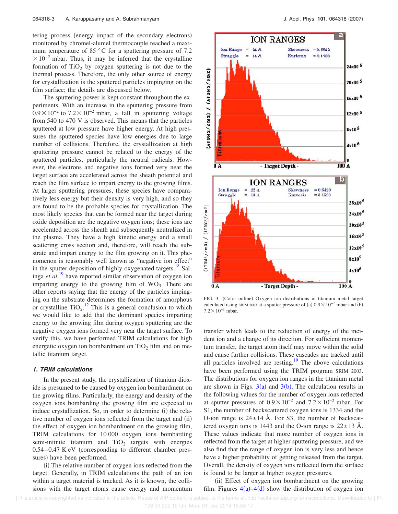tering process (energy impact of the secondary electrons) monitored by chromel-alumel thermocouple reached a maximum temperature of 85 °C for a sputtering pressure of 7.2  $\times 10^{-2}$  mbar. Thus, it may be inferred that the crystalline formation of  $TiO<sub>2</sub>$  by oxygen sputtering is not due to the thermal process. Therefore, the only other source of energy for crystallization is the sputtered particles impinging on the film surface; the details are discussed below.

The sputtering power is kept constant throughout the experiments. With an increase in the sputtering pressure from  $0.9\times10^{-2}$  to  $7.2\times10^{-2}$  mbar, a fall in sputtering voltage from 540 to 470 V is observed. This means that the particles sputtered at low pressure have higher energy. At high pressures the sputtered species have low energies due to large number of collisions. Therefore, the crystallization at high sputtering pressure cannot be related to the energy of the sputtered particles, particularly the neutral radicals. However, the electrons and negative ions formed very near the target surface are accelerated across the sheath potential and reach the film surface to impart energy to the growing films. At larger sputtering pressures, these species have comparatively less energy but their density is very high, and so they are found to be the probable species for crystallization. The most likely species that can be formed near the target during oxide deposition are the negative oxygen ions; these ions are accelerated across the sheath and subsequently neutralized in the plasma. They have a high kinetic energy and a small scattering cross section and, therefore, will reach the substrate and impart energy to the film growing on it. This phenomenon is reasonably well known as "negative ion effect" in the sputter deposition of highly oxygenated targets.<sup>18</sup> Salinga *et al.*<sup>19</sup> have reported similar observation of oxygen ion imparting energy to the growing film of  $WO_3$ . There are other reports saying that the energy of the particles impinging on the substrate determines the formation of amorphous or crystalline  $TiO_2$ .<sup>12</sup> This is a general conclusion to which we would like to add that the dominant species imparting energy to the growing film during oxygen sputtering are the negative oxygen ions formed very near the target surface. To verify this, we have performed TRIM calculations for high energetic oxygen ion bombardment on  $TiO<sub>2</sub>$  film and on metallic titanium target.

#### **1. TRIM calculations**

In the present study, the crystallization of titanium dioxide is presumed to be caused by oxygen ion bombardment on the growing films. Particularly, the energy and density of the oxygen ions bombarding the growing film are expected to induce crystallization. So, in order to determine (i) the relative number of oxygen ions reflected from the target and (ii) the effect of oxygen ion bombardment on the growing film, TRIM calculations for 10 000 oxygen ions bombarding semi-infinite titanium and  $TiO<sub>2</sub>$  targets with energies  $0.54-0.47$  K eV (corresponding to different chamber pressures) have been performed.

(i) The relative number of oxygen ions reflected from the target. Generally, in TRIM calculations the path of an ion within a target material is tracked. As it is known, the collisions with the target atoms cause energy and momentum



FIG. 3. (Color online) Oxygen ion distributions in titanium metal target calculated using SRIM 2003 at a sputter pressure of (a)  $0.9 \times 10^{-2}$  mbar and (b)  $7.2\times10^{-2}$  mbar.

transfer which leads to the reduction of energy of the incident ion and a change of its direction. For sufficient momentum transfer, the target atom itself may move within the solid and cause further collisions. These cascades are tracked until all particles involved are resting.<sup>19</sup> The above calculations have been performed using the TRIM program SRIM 2003. The distributions for oxygen ion ranges in the titanium metal are shown in Figs.  $3(a)$  and  $3(b)$ . The calculation results in the following values for the number of oxygen ions reflected at sputter pressures of  $0.9 \times 10^{-2}$  and  $7.2 \times 10^{-2}$  mbar. For S1, the number of backscattered oxygen ions is 1334 and the O-ion range is  $24 \pm 14$  Å. For S3, the number of backscattered oxygen ions is 1443 and the O-ion range is  $22 \pm 13$  Å. These values indicate that more number of oxygen ions is reflected from the target at higher sputtering pressure, and we also find that the range of oxygen ion is very less and hence have a higher probability of getting released from the target. Overall, the density of oxygen ions reflected from the surface is found to be larger at higher oxygen pressures.

(ii) Effect of oxygen ion bombardment on the growing film. Figures  $4(a) - 4(d)$  show the distribution of oxygen ion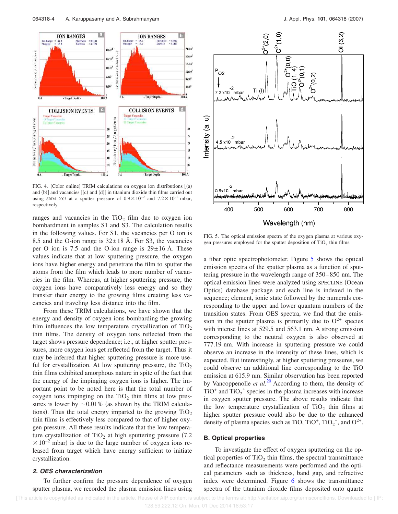

FIG. 4. (Color online) TRIM calculations on oxygen ion distributions [(a) and  $(b)$ ] and vacancies  $[(c)$  and  $(d)]$  in titanium dioxide thin films carried out using SRIM 2003 at a sputter pressure of  $0.9 \times 10^{-2}$  and  $7.2 \times 10^{-2}$  mbar, respectively.

ranges and vacancies in the  $TiO<sub>2</sub>$  film due to oxygen ion bombardment in samples S1 and S3. The calculation results in the following values. For S1, the vacancies per O ion is 8.5 and the O-ion range is  $32 \pm 18$  Å. For S3, the vacancies per O ion is 7.5 and the O-ion range is  $29 \pm 16$  Å. These values indicate that at low sputtering pressure, the oxygen ions have higher energy and penetrate the film to sputter the atoms from the film which leads to more number of vacancies in the film. Whereas, at higher sputtering pressure, the oxygen ions have comparatively less energy and so they transfer their energy to the growing films creating less vacancies and traveling less distance into the film.

From these TRIM calculations, we have shown that the energy and density of oxygen ions bombarding the growing film influences the low temperature crystallization of  $TiO<sub>2</sub>$ thin films. The density of oxygen ions reflected from the target shows pressure dependence; i.e., at higher sputter pressures, more oxygen ions get reflected from the target. Thus it may be inferred that higher sputtering pressure is more useful for crystallization. At low sputtering pressure, the  $TiO<sub>2</sub>$ thin films exhibited amorphous nature in spite of the fact that the energy of the impinging oxygen ions is higher. The important point to be noted here is that the total number of oxygen ions impinging on the  $TiO<sub>2</sub>$  thin films at low pressures is lower by  $\sim 0.01\%$  (as shown by the TRIM calculations). Thus the total energy imparted to the growing  $TiO<sub>2</sub>$ thin films is effectively less compared to that of higher oxygen pressure. All these results indicate that the low temperature crystallization of  $TiO<sub>2</sub>$  at high sputtering pressure (7.2)  $\times 10^{-2}$  mbar) is due to the large number of oxygen ions released from target which have energy sufficient to initiate crystallization.

## **2. OES characterization**

To further confirm the pressure dependence of oxygen sputter plasma, we recorded the plasma emission lines using



FIG. 5. The optical emission spectra of the oxygen plasma at various oxygen pressures employed for the sputter deposition of  $TiO<sub>2</sub>$  thin films.

a fiber optic spectrophotometer. Figure 5 shows the optical emission spectra of the sputter plasma as a function of sputtering pressure in the wavelength range of 350–850 nm. The optical emission lines were analyzed using SPECLINE Ocean Optics) database package and each line is indexed in the sequence; element, ionic state followed by the numerals corresponding to the upper and lower quantum numbers of the transition states. From OES spectra, we find that the emission in the sputter plasma is primarily due to  $O^{2+}$  species with intense lines at 529.5 and 563.1 nm. A strong emission corresponding to the neutral oxygen is also observed at 777.19 nm. With increase in sputtering pressure we could observe an increase in the intensity of these lines, which is expected. But interestingly, at higher sputtering pressures, we could observe an additional line corresponding to the TiO emission at 615.9 nm. Similar observation has been reported by Vancoppenolle *et al.*<sup>20</sup> According to them, the density of TiO<sup>+</sup> and  $TiO_2^+$  species in the plasma increases with increase in oxygen sputter pressure. The above results indicate that the low temperature crystallization of  $TiO<sub>2</sub>$  thin films at higher sputter pressure could also be due to the enhanced density of plasma species such as TiO, TiO<sup>+</sup>, TiO<sub>2</sub><sup>+</sup>, and O<sup>2+</sup>.

## **B. Optical properties**

To investigate the effect of oxygen sputtering on the optical properties of  $TiO<sub>2</sub>$  thin films, the spectral transmittance and reflectance measurements were performed and the optical parameters such as thickness, band gap, and refractive index were determined. Figure 6 shows the transmittance spectra of the titanium dioxide films deposited onto quartz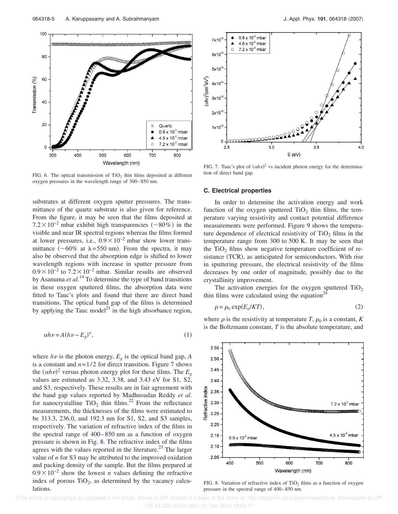

FIG. 6. The optical transmission of  $TiO<sub>2</sub>$  thin films deposited at different oxygen pressures in the wavelength range of 300–850 nm.

substrates at different oxygen sputter pressures. The transmittance of the quartz substrate is also given for reference. From the figure, it may be seen that the films deposited at  $7.2 \times 10^{-2}$  mbar exhibit high transparencies (~80%) in the visible and near IR spectral regions whereas the films formed at lower pressures, i.e.,  $0.9 \times 10^{-2}$  mbar show lower transmittance ( $\sim 60\%$  at  $\lambda = 550$  nm). From the spectra, it may also be observed that the absorption edge is shifted to lower wavelength regions with increase in sputter pressure from  $0.9 \times 10^{-2}$  to  $7.2 \times 10^{-2}$  mbar. Similar results are observed by Asanuma *et al.*<sup>14</sup> To determine the type of band transitions in these oxygen sputtered films, the absorption data were fitted to Tauc's plots and found that there are direct band transitions. The optical band gap of the films is determined by applying the Tauc model $^{21}$  in the high absorbance region,

$$
\alpha h \nu = A(h \nu - E_g)^n,\tag{1}
$$

where  $h\nu$  is the photon energy,  $E_g$  is the optical band gap, *A* is a constant and  $n=1/2$  for direct transition. Figure 7 shows the  $(\alpha h \nu)^2$  versus photon energy plot for these films. The  $E_g$ values are estimated as 3.32, 3.38, and 3.43 eV for S1, S2, and S3, respectively. These results are in fair agreement with the band gap values reported by Madhusudan Reddy *et al.* for nanocrystalline  $TiO<sub>2</sub>$  thin films.<sup>22</sup> From the reflectance measurements, the thicknesses of the films were estimated to be 313.3, 236.0, and 192.3 nm for S1, S2, and S3 samples, respectively. The variation of refractive index of the films in the spectral range of 400–850 nm as a function of oxygen pressure is shown in Fig. 8. The refractive index of the films agrees with the values reported in the literature.<sup>23</sup> The larger value of *n* for S3 may be attributed to the improved oxidation and packing density of the sample. But the films prepared at  $0.9 \times 10^{-2}$  show the lowest *n* values defining the refractive index of porous  $TiO<sub>2</sub>$ , as determined by the vacancy calculations.



FIG. 7. Tauc's plot of  $(\alpha h \nu)^2$  vs incident photon energy for the determination of direct band gap.

#### **C. Electrical properties**

In order to determine the activation energy and work function of the oxygen sputtered  $TiO<sub>2</sub>$  thin films, the temperature varying resistivity and contact potential difference measurements were performed. Figure 9 shows the temperature dependence of electrical resistivity of  $TiO<sub>2</sub>$  films in the temperature range from 300 to 500 K. It may be seen that the  $TiO<sub>2</sub>$  films show negative temperature coefficient of resistance (TCR), as anticipated for semiconductors. With rise in sputtering pressure, the electrical resistivity of the films decreases by one order of magnitude, possibly due to the crystallinity improvement.

The activation energies for the oxygen sputtered  $TiO<sub>2</sub>$ thin films were calculated using the equation $\alpha^2$ 

$$
\rho = \rho_0 \exp(E_a / KT),\tag{2}
$$

where  $\rho$  is the resistivity at temperature *T*,  $\rho_0$  is a constant, *K* is the Boltzmann constant, *T* is the absolute temperature, and



FIG. 8. Variation of refractive index of TiO<sub>2</sub> films as a function of oxygen pressure in the spectral range of 400–850 nm.

 [This article is copyrighted as indicated in the article. Reuse of AIP content is subject to the terms at: http://scitation.aip.org/termsconditions. Downloaded to ] IP: 128.59.222.12 On: Mon, 01 Dec 2014 18:53:17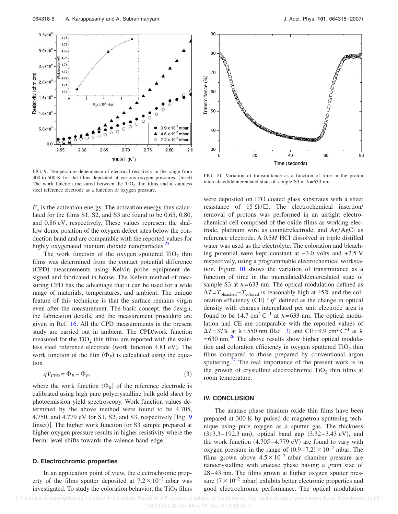

FIG. 9. Temperature dependence of electrical resistivity in the range from 300 to 500 K for the films deposited at various oxygen pressures. (Inset) The work function measured between the  $TiO<sub>2</sub>$  thin films and a stainless steel reference electrode as a function of oxygen pressure.

 $E_a$  is the activation energy. The activation energy thus calculated for the films S1, S2, and S3 are found to be 0.65, 0.80, and 0.86 eV, respectively. These values represent the shallow donor position of the oxygen defect sites below the conduction band and are comparable with the reported values for highly oxygenated titanium dioxide nanoparticles.<sup>25</sup>

The work function of the oxygen sputtered  $TiO<sub>2</sub>$  thin films was determined from the contact potential difference (CPD) measurements using Kelvin probe equipment designed and fabricated in house. The Kelvin method of measuring CPD has the advantage that it can be used for a wide range of materials, temperatures, and ambient. The unique feature of this technique is that the surface remains virgin even after the measurement. The basic concept, the design, the fabrication details, and the measurement procedure are given in Ref. 16. All the CPD measurements in the present study are carried out in ambient. The CPD/work function measured for the  $TiO<sub>2</sub>$  thin films are reported with the stainless steel reference electrode (work function 4.81 eV). The work function of the film  $(\Phi_F)$  is calculated using the equation

$$
qV_{\rm CPD} = \Phi_R - \Phi_F,\tag{3}
$$

where the work function  $(\Phi_R)$  of the reference electrode is calibrated using high pure polycrystalline bulk gold sheet by photoemission yield spectroscopy. Work function values determined by the above method were found to be 4.705, 4.750, and 4.779 eV for S1, S2, and S3, respectively Fig. 9 (inset)]. The higher work function for S3 sample prepared at higher oxygen pressure results in higher resistivity where the Fermi level shifts towards the valence band edge.

### **D. Electrochromic properties**

In an application point of view, the electrochromic property of the films sputter deposited at  $7.2 \times 10^{-2}$  mbar was investigated. To study the coloration behavior, the  $TiO<sub>2</sub>$  films



FIG. 10. Variation of transmittance as a function of time in the proton intercalated/deintercalated state of sample S3 at  $\lambda = 633$  nm.

were deposited on ITO coated glass substrates with a sheet resistance of 15  $\Omega/\square$ . The electrochemical insertion/ removal of protons was performed in an airtight electrochemical cell composed of the oxide films as working electrode, platinum wire as counterelectrode, and Ag/AgCl as reference electrode. A 0.5*M* HCl dissolved in triple distilled water was used as the electrolyte. The coloration and bleaching potential were kept constant at −3.0 volts and +2.5 V respectively, using a programmable electrochemical workstation. Figure 10 shows the variation of transmittance as a function of time in the intercalated/deintercalated state of sample S3 at  $\lambda$ =633 nm. The optical modulation defined as *T*=*T*bleached−*T*colored is reasonably high at 45% and the coloration efficiency (CE) " $\eta$ " defined as the change in optical density with charges intercalated per unit electrode area is found to be 14.7 cm<sup>2</sup> C<sup>-1</sup> at  $\lambda$ =633 nm. The optical modulation and CE are comparable with the reported values of  $\Delta T = 37\%$  at  $\lambda = 550$  nm (Ref. 3) and CE=9.9 cm<sup>2</sup> C<sup>-1</sup> at  $\lambda$  $=630$  nm.<sup>26</sup> The above results show higher optical modulation and coloration efficiency in oxygen sputtered  $TiO<sub>2</sub>$  thin films compared to those prepared by conventional argon sputtering. $27$  The real importance of the present work is in the growth of crystalline electrochromic  $TiO<sub>2</sub>$  thin films at room temperature.

## **IV. CONCLUSION**

The anatase phase titanium oxide thin films have been prepared at 300 K by pulsed dc magnetron sputtering technique using pure oxygen as a sputter gas. The thickness  $(313.3 - 192.3 \text{ nm})$ , optical band gap  $(3.32 - 3.43 \text{ eV})$ , and the work function  $(4.705-4.779 \text{ eV})$  are found to vary with oxygen pressure in the range of  $(0.9-7.2) \times 10^{-2}$  mbar. The films grown above  $4.5\times10^{-2}$  mbar chamber pressure are nanocrystalline with anatase phase having a grain size of 28–43 nm. The films grown at higher oxygen sputter pressure  $(7 \times 10^{-2}$  mbar) exhibits better electronic properties and good electrochromic performance. The optical modulation